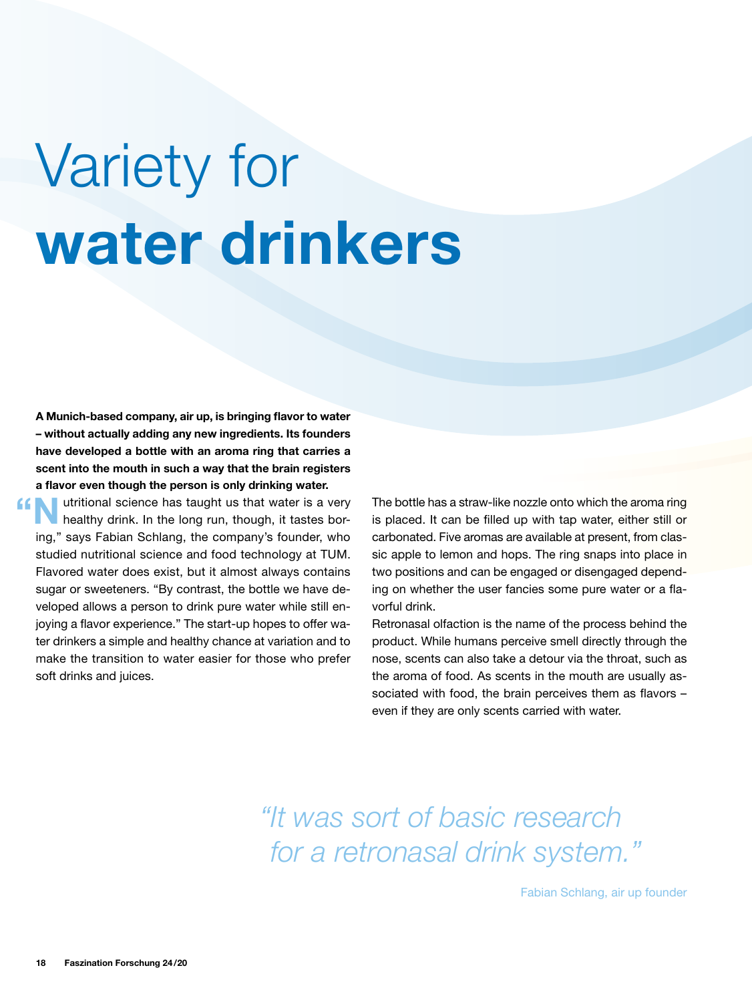## Variety for water drinkers

A Munich-based company, air up, is bringing flavor to water – without actually adding any new ingredients. Its founders have developed a bottle with an aroma ring that carries a scent into the mouth in such a way that the brain registers a flavor even though the person is only drinking water.

**Nutritional science has taught us that water is a very healthy drink. In the long run, though, it tastes bor**ing," says Fabian Schlang, the company's founder, who studied nutritional science and food technology at TUM. Flavored water does exist, but it almost always contains sugar or sweeteners. "By contrast, the bottle we have developed allows a person to drink pure water while still enjoying a flavor experience." The start-up hopes to offer water drinkers a simple and healthy chance at variation and to make the transition to water easier for those who prefer soft drinks and juices. "

The bottle has a straw-like nozzle onto which the aroma ring is placed. It can be filled up with tap water, either still or carbonated. Five aromas are available at present, from classic apple to lemon and hops. The ring snaps into place in two positions and can be engaged or disengaged depending on whether the user fancies some pure water or a flavorful drink.

Retronasal olfaction is the name of the process behind the product. While humans perceive smell directly through the nose, scents can also take a detour via the throat, such as the aroma of food. As scents in the mouth are usually associated with food, the brain perceives them as flavors – even if they are only scents carried with water.

*"It was sort of basic research for a retronasal drink system."*

Fabian Schlang, air up founder